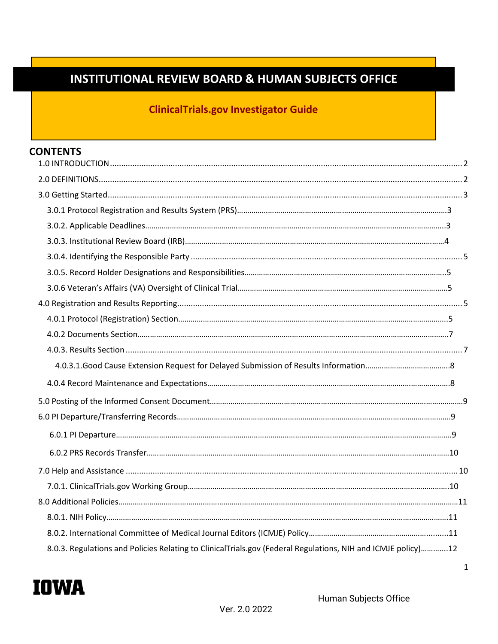# **INSTITUTIONAL REVIEW BOARD & HUMAN SUBJECTS OFFICE**

# **ClinicalTrials.gov Investigator Guide**

### **CONTENTS**

| 8.0.3. Regulations and Policies Relating to ClinicalTrials.gov (Federal Regulations, NIH and ICMJE policy)12 |  |
|--------------------------------------------------------------------------------------------------------------|--|
|                                                                                                              |  |

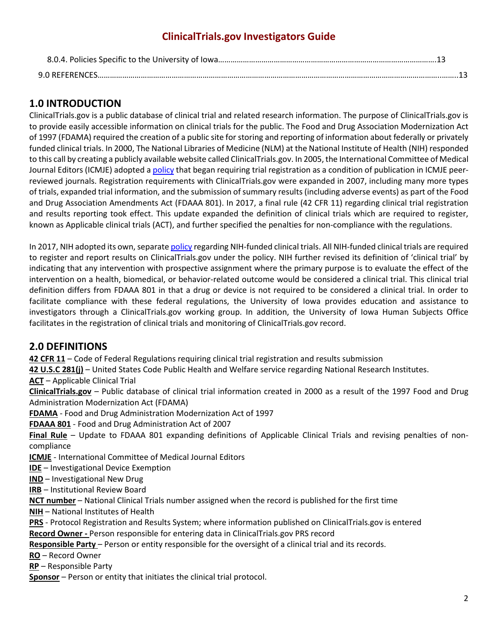### <span id="page-1-0"></span>**1.0 INTRODUCTION**

ClinicalTrials.gov is a public database of clinical trial and related research information. The purpose of ClinicalTrials.gov is to provide easily accessible information on clinical trials for the public. The Food and Drug Association Modernization Act of 1997 (FDAMA) required the creation of a public site for storing and reporting of information about federally or privately funded clinical trials. In 2000, The National Libraries of Medicine (NLM) at the National Institute of Health (NIH) responded to this call by creating a publicly available website called ClinicalTrials.gov. In 2005, the International Committee of Medical Journal Editors (ICMJE) adopted a [policy](#page-10-0) that began requiring trial registration as a condition of publication in ICMJE peerreviewed journals. Registration requirements with ClinicalTrials.gov were expanded in 2007, including many more types of trials, expanded trial information, and the submission of summary results (including adverse events) as part of the Food and Drug Association Amendments Act (FDAAA 801). In 2017, a final rule (42 CFR 11) regarding clinical trial registration and results reporting took effect. This update expanded the definition of clinical trials which are required to register, known as Applicable clinical trials (ACT), and further specified the penalties for non-compliance with the regulations.

In 2017, NIH adopted its own, separate [policy](#page-10-0) regarding NIH-funded clinical trials. All NIH-funded clinical trials are required to register and report results on ClinicalTrials.gov under the policy. NIH further revised its definition of 'clinical trial' by indicating that any intervention with prospective assignment where the primary purpose is to evaluate the effect of the intervention on a health, biomedical, or behavior-related outcome would be considered a clinical trial. This clinical trial definition differs from FDAAA 801 in that a drug or device is not required to be considered a clinical trial. In order to facilitate compliance with these federal regulations, the University of Iowa provides education and assistance to investigators through a ClinicalTrials.gov working group. In addition, the University of Iowa Human Subjects Office facilitates in the registration of clinical trials and monitoring of ClinicalTrials.gov record.

### <span id="page-1-1"></span>**2.0 DEFINITIONS**

**42 CFR 11** – Code of Federal Regulations requiring clinical trial registration and results submission

**42 U.S.C 281(j)** – United States Code Public Health and Welfare service regarding National Research Institutes.

**ACT** – Applicable Clinical Trial

**ClinicalTrials.gov** – Public database of clinical trial information created in 2000 as a result of the 1997 Food and Drug Administration Modernization Act (FDAMA)

**FDAMA** - Food and Drug Administration Modernization Act of 1997

**FDAAA 801** - Food and Drug Administration Act of 2007

**Final Rule** – Update to FDAAA 801 expanding definitions of Applicable Clinical Trials and revising penalties of noncompliance

**ICMJE** - International Committee of Medical Journal Editors

**IDE** – Investigational Device Exemption

**IND** – Investigational New Drug

**IRB** – Institutional Review Board

**NCT number** – National Clinical Trials number assigned when the record is published for the first time

**NIH** – National Institutes of Health

**PRS** - Protocol Registration and Results System; where information published on ClinicalTrials.gov is entered

**Record Owner -** Person responsible for entering data in ClinicalTrials.gov PRS record

**Responsible Party** – Person or entity responsible for the oversight of a clinical trial and its records.

**RO** – Record Owner

**RP** – Responsible Party

**Sponsor** – Person or entity that initiates the clinical trial protocol.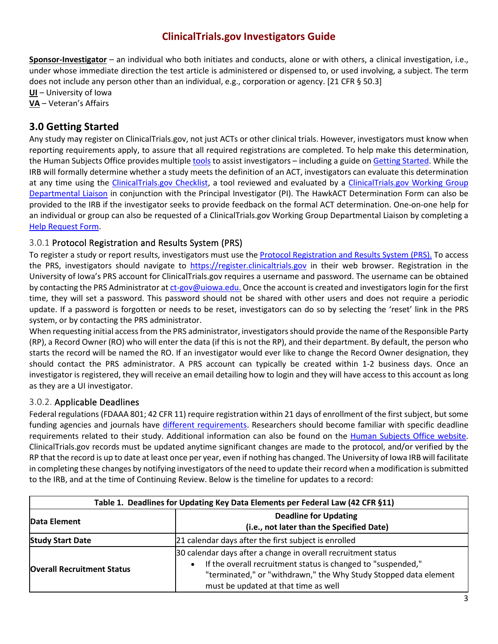**Sponsor-Investigator** – an individual who both initiates and conducts, alone or with others, a clinical investigation, i.e., under whose immediate direction the test article is administered or dispensed to, or used involving, a subject. The term does not include any person other than an individual, e.g., corporation or agency. [21 CFR § 50.3]

**UI** – University of Iowa **VA** – Veteran's Affairs

### <span id="page-2-0"></span>**3.0 Getting Started**

Any study may register on ClinicalTrials.gov, not just ACTs or other clinical trials. However, investigators must know when reporting requirements apply, to assure that all required registrations are completed. To help make this determination, the Human Subjects Office provides multiple [tools](https://hso.research.uiowa.edu/clinicaltrialsgov) to assist investigators - including a guide on [Getting Started.](https://hso.research.uiowa.edu/sites/hso.research.uiowa.edu/files/ClinicalTrials.gov%20Checklist.pdf) While the IRB will formally determine whether a study meets the definition of an ACT, investigators can evaluate this determination at any time using the [ClinicalTrials.gov Checklist,](https://hso.research.uiowa.edu/sites/hso.research.uiowa.edu/files/ClinicalTrials.gov%20Checklist.pdf) a tool reviewed and evaluated by a [ClinicalTrials.gov Working Group](#page-9-0)  [Departmental Liaison](#page-9-0) in conjunction with the Principal Investigator (PI). The HawkACT Determination Form can also be provided to the IRB if the investigator seeks to provide feedback on the formal ACT determination. One-on-one help for an individual or group can also be requested of a ClinicalTrials.gov Working Group Departmental Liaison by completing a [Help Request Form.](https://workflow.uiowa.edu/entry/test/new/5603)

#### <span id="page-2-1"></span>3.0.1 Protocol Registration and Results System (PRS)

To register a study or report results, investigators must use th[e Protocol Registration and Results System \(PRS\).](http://register.clinicaltrials.gov/) To access the PRS, investigators should navigate to [https://register.clinicaltrials.gov](https://register.clinicaltrials.gov/) in their web browser. Registration in the University of Iowa's PRS account for ClinicalTrials.gov requires a username and password. The username can be obtained by contacting the PRS Administrator a[t ct-gov@uiowa.edu.](mailto:ct-gov@uiowa.edu.Once) Once the account is created and investigators login for the first time, they will set a password. This password should not be shared with other users and does not require a periodic update. If a password is forgotten or needs to be reset, investigators can do so by selecting the 'reset' link in the PRS system, or by contacting the PRS administrator.

When requesting initial access from the PRS administrator, investigators should provide the name of the Responsible Party (RP), a Record Owner (RO) who will enter the data (if this is not the RP), and their department. By default, the person who starts the record will be named the RO. If an investigator would ever like to change the Record Owner designation, they should contact the PRS administrator. A PRS account can typically be created within 1-2 business days. Once an investigator is registered, they will receive an email detailing how to login and they will have access to this account as long as they are a UI investigator.

#### <span id="page-2-2"></span>3.0.2. Applicable Deadlines

Federal regulations (FDAAA 801; 42 CFR 11) require registration within 21 days of enrollment of the first subject, but some funding agencies and journals have [different requirements.](#page-10-0) Researchers should become familiar with specific deadline requirements related to their study. Additional information can also be found on the [Human Subjects Office website.](https://hso.research.uiowa.edu/clinicaltrialsgov) ClinicalTrials.gov records must be updated anytime significant changes are made to the protocol, and/or verified by the RP that the record is up to date at least once per year, even if nothing has changed. The University of Iowa IRB will facilitate in completing these changes by notifying investigators of the need to update their record when a modification is submitted to the IRB, and at the time of Continuing Review. Below is the timeline for updates to a record:

| Table 1. Deadlines for Updating Key Data Elements per Federal Law (42 CFR §11) |                                                                                                                                                                                                                                                        |  |  |  |
|--------------------------------------------------------------------------------|--------------------------------------------------------------------------------------------------------------------------------------------------------------------------------------------------------------------------------------------------------|--|--|--|
| Data Element                                                                   | <b>Deadline for Updating</b><br>(i.e., not later than the Specified Date)                                                                                                                                                                              |  |  |  |
| <b>Study Start Date</b>                                                        | 21 calendar days after the first subject is enrolled                                                                                                                                                                                                   |  |  |  |
| <b>Overall Recruitment Status</b>                                              | 30 calendar days after a change in overall recruitment status<br>If the overall recruitment status is changed to "suspended,"<br>$\bullet$<br>"terminated," or "withdrawn," the Why Study Stopped data element<br>must be updated at that time as well |  |  |  |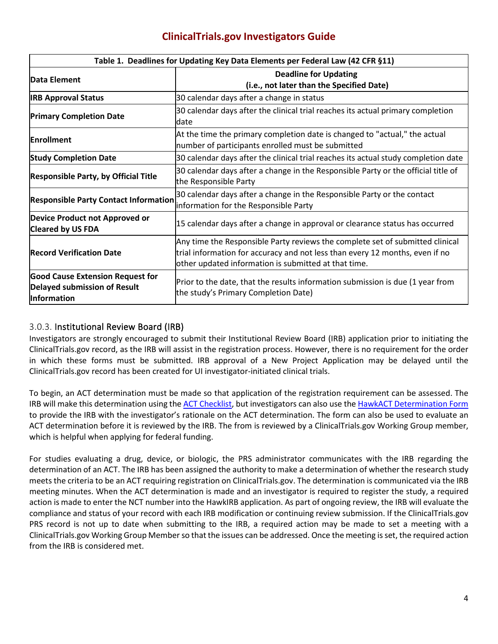| Table 1. Deadlines for Updating Key Data Elements per Federal Law (42 CFR §11)                |                                                                                                                                                                                                                       |  |  |  |
|-----------------------------------------------------------------------------------------------|-----------------------------------------------------------------------------------------------------------------------------------------------------------------------------------------------------------------------|--|--|--|
| Data Element                                                                                  | <b>Deadline for Updating</b><br>(i.e., not later than the Specified Date)                                                                                                                                             |  |  |  |
| <b>IRB Approval Status</b>                                                                    | 30 calendar days after a change in status                                                                                                                                                                             |  |  |  |
| <b>Primary Completion Date</b>                                                                | 30 calendar days after the clinical trial reaches its actual primary completion<br>ldate                                                                                                                              |  |  |  |
| <b>Enrollment</b>                                                                             | At the time the primary completion date is changed to "actual," the actual<br>number of participants enrolled must be submitted                                                                                       |  |  |  |
| <b>Study Completion Date</b>                                                                  | 30 calendar days after the clinical trial reaches its actual study completion date                                                                                                                                    |  |  |  |
| <b>Responsible Party, by Official Title</b>                                                   | 30 calendar days after a change in the Responsible Party or the official title of<br>the Responsible Party                                                                                                            |  |  |  |
| <b>Responsible Party Contact Information</b>                                                  | 30 calendar days after a change in the Responsible Party or the contact<br>information for the Responsible Party                                                                                                      |  |  |  |
| Device Product not Approved or<br><b>Cleared by US FDA</b>                                    | 15 calendar days after a change in approval or clearance status has occurred                                                                                                                                          |  |  |  |
| <b>Record Verification Date</b>                                                               | Any time the Responsible Party reviews the complete set of submitted clinical<br>trial information for accuracy and not less than every 12 months, even if no<br>other updated information is submitted at that time. |  |  |  |
| <b>Good Cause Extension Request for</b><br>Delayed submission of Result<br><b>Information</b> | Prior to the date, that the results information submission is due (1 year from<br>the study's Primary Completion Date)                                                                                                |  |  |  |

#### <span id="page-3-0"></span>3.0.3. Institutional Review Board (IRB)

Investigators are strongly encouraged to submit their Institutional Review Board (IRB) application prior to initiating the ClinicalTrials.gov record, as the IRB will assist in the registration process. However, there is no requirement for the order in which these forms must be submitted. IRB approval of a New Project Application may be delayed until the ClinicalTrials.gov record has been created for UI investigator-initiated clinical trials.

To begin, an ACT determination must be made so that application of the registration requirement can be assessed. The IRB will make this determination using th[e ACT Checklist,](https://prsinfo.clinicaltrials.gov/ACT_Checklist.pdf) but investigators can also use the [HawkACT Determination Form](https://hso.research.uiowa.edu/sites/hso.research.uiowa.edu/files/HawkACT%20Determination%20Form.pdf) to provide the IRB with the investigator's rationale on the ACT determination. The form can also be used to evaluate an ACT determination before it is reviewed by the IRB. The from is reviewed by a ClinicalTrials.gov Working Group member, which is helpful when applying for federal funding.

For studies evaluating a drug, device, or biologic, the PRS administrator communicates with the IRB regarding the determination of an ACT. The IRB has been assigned the authority to make a determination of whether the research study meets the criteria to be an ACT requiring registration on ClinicalTrials.gov. The determination is communicated via the IRB meeting minutes. When the ACT determination is made and an investigator is required to register the study, a required action is made to enter the NCT number into the HawkIRB application. As part of ongoing review, the IRB will evaluate the compliance and status of your record with each IRB modification or continuing review submission. If the ClinicalTrials.gov PRS record is not up to date when submitting to the IRB, a required action may be made to set a meeting with a ClinicalTrials.gov Working Group Member so that the issues can be addressed. Once the meeting is set, the required action from the IRB is considered met.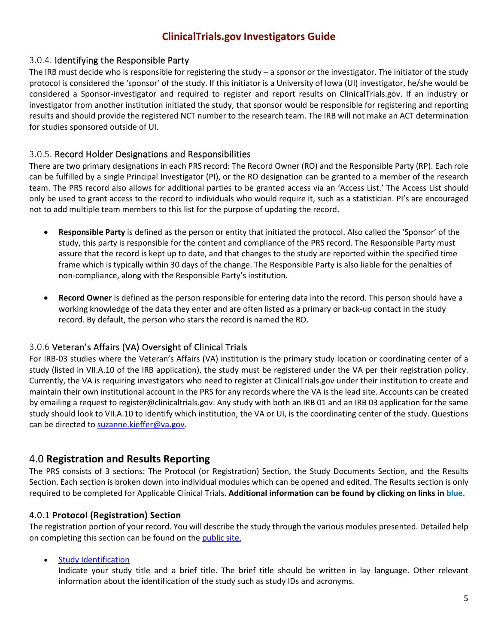#### <span id="page-4-0"></span>3.0.4. Identifying the Responsible Party

The IRB must decide who is responsible for registering the study – a sponsor or the investigator. The initiator of the study protocol is considered the 'sponsor' of the study. If this initiator is a University of Iowa (UI) investigator, he/she would be considered a Sponsor-investigator and required to register and report results on ClinicalTrials.gov. If an industry or investigator from another institution initiated the study, that sponsor would be responsible for registering and reporting results and should provide the registered NCT number to the research team. The IRB will not make an ACT determination for studies sponsored outside of UI.

#### <span id="page-4-1"></span>3.0.5. Record Holder Designations and Responsibilities

There are two primary designations in each PRS record: The Record Owner (RO) and the Responsible Party (RP). Each role can be fulfilled by a single Principal Investigator (PI), or the RO designation can be granted to a member of the research team. The PRS record also allows for additional parties to be granted access via an 'Access List.' The Access List should only be used to grant access to the record to individuals who would require it, such as a statistician. PI's are encouraged not to add multiple team members to this list for the purpose of updating the record.

- **Responsible Party** is defined as the person or entity that initiated the protocol. Also called the 'Sponsor' of the study, this party is responsible for the content and compliance of the PRS record. The Responsible Party must assure that the record is kept up to date, and that changes to the study are reported within the specified time frame which is typically within 30 days of the change. The Responsible Party is also liable for the penalties of non-compliance, along with the Responsible Party's institution.
- **Record Owner** is defined as the person responsible for entering data into the record. This person should have a working knowledge of the data they enter and are often listed as a primary or back-up contact in the study record. By default, the person who stars the record is named the RO.

#### <span id="page-4-2"></span>3.0.6 Veteran's Affairs (VA) Oversight of Clinical Trials

For IRB-03 studies where the Veteran's Affairs (VA) institution is the primary study location or coordinating center of a study (listed in VII.A.10 of the IRB application), the study must be registered under the VA per their registration policy. Currently, the VA is requiring investigators who need to register at ClinicalTrials.gov under their institution to create and maintain their own institutional account in the PRS for any records where the VA is the lead site. Accounts can be created by emailing a request to register@clinicaltrials.gov. Any study with both an IRB 01 and an IRB 03 application for the same study should look to VII.A.10 to identify which institution, the VA or UI, is the coordinating center of the study. Questions can be directed t[o suzanne.kieffer@va.gov.](mailto:suzanne.kieffer@va.gov)

#### <span id="page-4-3"></span>4.0 **Registration and Results Reporting**

The PRS consists of 3 sections: The Protocol (or Registration) Section, the Study Documents Section, and the Results Section. Each section is broken down into individual modules which can be opened and edited. The Results section is only required to be completed for Applicable Clinical Trials. **Additional information can be found by clicking on links in blue.**

#### <span id="page-4-4"></span>4.0.1 **Protocol (Registration) Section**

The registration portion of your record. You will describe the study through the various modules presented. Detailed help on completing this section can be found on th[e public site.](https://prsinfo.clinicaltrials.gov/definitions.html)

#### **[Study Identification](https://register.clinicaltrials.gov/prs/app/template/help%2CHelpSingleModule.vm?module=Identification&uid=U0003GLD&ts=5&cx=v0xtw8)**

Indicate your study title and a brief title. The brief title should be written in lay language. Other relevant information about the identification of the study such as study IDs and acronyms.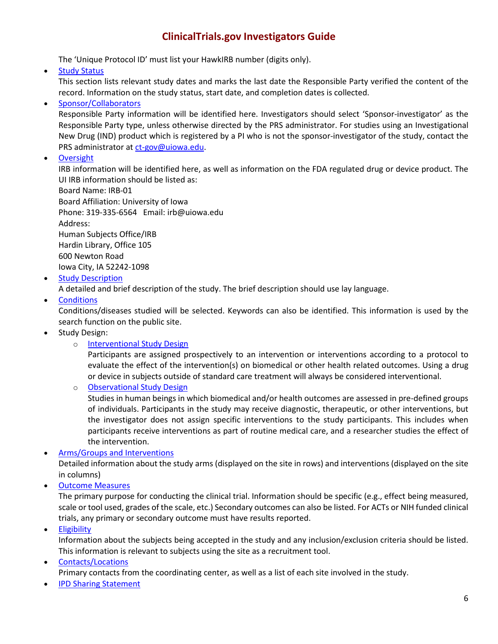The 'Unique Protocol ID' must list your HawkIRB number (digits only).

• [Study Status](https://register.clinicaltrials.gov/prs/app/template/help%2CHelpSingleModule.vm?module=StudyStatus&uid=U0003GLD&ts=5&cx=42r66v)

This section lists relevant study dates and marks the last date the Responsible Party verified the content of the record. Information on the study status, start date, and completion dates is collected.

#### • [Sponsor/Collaborators](https://register.clinicaltrials.gov/prs/app/template/help%2CHelpSingleModule.vm?module=Sponsors&uid=U0003GLD&ts=5&cx=dw66b)

Responsible Party information will be identified here. Investigators should select 'Sponsor-investigator' as the Responsible Party type, unless otherwise directed by the PRS administrator. For studies using an Investigational New Drug (IND) product which is registered by a PI who is not the sponsor-investigator of the study, contact the PRS administrator at [ct-gov@uiowa.edu.](mailto:ct-gov@uiowa.edu)

• [Oversight](https://register.clinicaltrials.gov/prs/app/template/help%2CHelpSingleModule.vm?module=Oversight&uid=U0003GLD&ts=5&cx=-1c083f)

IRB information will be identified here, as well as information on the FDA regulated drug or device product. The UI IRB information should be listed as:

Board Name: IRB-01 Board Affiliation: University of Iowa Phone: 319-335-6564 Email: irb@uiowa.edu Address: Human Subjects Office/IRB Hardin Library, Office 105

600 Newton Road Iowa City, IA 52242-1098

• [Study Description](https://register.clinicaltrials.gov/prs/app/template/help%2CHelpSingleModule.vm?module=Description&uid=U0003GLD&ts=5&cx=-3gcm6g)

A detailed and brief description of the study. The brief description should use lay language.

• [Conditions](https://register.clinicaltrials.gov/prs/app/template/help%2CHelpSingleModule.vm?module=Conditions&uid=U0003GLD&ts=5&cx=visan6)

Conditions/diseases studied will be selected. Keywords can also be identified. This information is used by the search function on the public site.

- Study Design:
	- o **[Interventional Study Design](https://register.clinicaltrials.gov/prs/app/template/help%2CHelpSingleModule.vm?module=IntStudyDesign&uid=U0003GLD&ts=5&cx=-htygny)**

Participants are assigned prospectively to an intervention or interventions according to a protocol to evaluate the effect of the intervention(s) on biomedical or other health related outcomes. Using a drug or device in subjects outside of standard care treatment will always be considered interventional.

o [Observational Study Design](https://register.clinicaltrials.gov/prs/app/template/help%2CHelpSingleModule.vm?module=ObsStudyDesign&uid=U0003GLD&ts=5&cx=-2z447j)

Studies in human beings in which biomedical and/or health outcomes are assessed in pre-defined groups of individuals. Participants in the study may receive diagnostic, therapeutic, or other interventions, but the investigator does not assign specific interventions to the study participants. This includes when participants receive interventions as part of routine medical care, and a researcher studies the effect of the intervention.

#### • [Arms/Groups and Interventions](https://register.clinicaltrials.gov/prs/app/template/help%2CHelpSingleModule.vm?module=ArmsGroupsInterventions&uid=U0003GLD&ts=5&cx=-s68vmb)

Detailed information about the study arms (displayed on the site in rows) and interventions (displayed on the site in columns)

• [Outcome Measures](https://register.clinicaltrials.gov/prs/app/template/help%2CHelpSingleModule.vm?module=OutcomeMeasures&uid=U0003GLD&ts=5&cx=3dozpf)

The primary purpose for conducting the clinical trial. Information should be specific (e.g., effect being measured, scale or tool used, grades of the scale, etc.) Secondary outcomes can also be listed. For ACTs or NIH funded clinical trials, any primary or secondary outcome must have results reported.

• [Eligibility](https://register.clinicaltrials.gov/prs/app/template/help%2CHelpSingleModule.vm?module=Eligibility&uid=U0003GLD&ts=5&cx=5jwtu1)

Information about the subjects being accepted in the study and any inclusion/exclusion criteria should be listed. This information is relevant to subjects using the site as a recruitment tool.

• [Contacts/Locations](https://register.clinicaltrials.gov/prs/app/template/help%2CHelpSingleModule.vm?module=ContactsLocations&uid=U0003GLD&ts=5&cx=-sejh4p) Primary contacts from the coordinating center, as well as a list of each site involved in the study.

• [IPD Sharing Statement](https://register.clinicaltrials.gov/prs/app/template/help%2CHelpSingleModule.vm?module=IPDSharing&uid=U0003GLD&ts=5&cx=q5mrmx)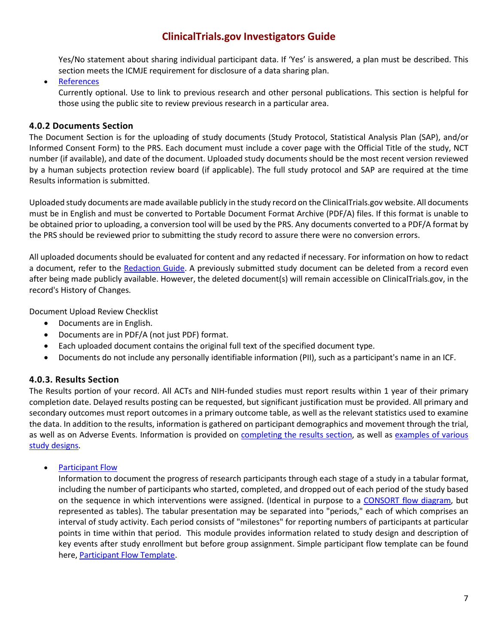Yes/No statement about sharing individual participant data. If 'Yes' is answered, a plan must be described. This section meets the ICMJE requirement for disclosure of a data sharing plan.

#### • [References](https://register.clinicaltrials.gov/prs/app/template/help%2CHelpSingleModule.vm?module=References&uid=U0003GLD&ts=5&cx=crcbzm)

Currently optional. Use to link to previous research and other personal publications. This section is helpful for those using the public site to review previous research in a particular area.

#### <span id="page-6-0"></span>**4.0.2 Documents Section**

The Document Section is for the uploading of study documents (Study Protocol, Statistical Analysis Plan (SAP), and/or Informed Consent Form) to the PRS. Each document must include a cover page with the Official Title of the study, NCT number (if available), and date of the document. Uploaded study documents should be the most recent version reviewed by a human subjects protection review board (if applicable). The full study protocol and SAP are required at the time Results information is submitted.

Uploaded study documents are made available publicly in the study record on the ClinicalTrials.gov website. All documents must be in English and must be converted to Portable Document Format Archive (PDF/A) files. If this format is unable to be obtained prior to uploading, a conversion tool will be used by the PRS. Any documents converted to a PDF/A format by the PRS should be reviewed prior to submitting the study record to assure there were no conversion errors.

All uploaded documents should be evaluated for content and any redacted if necessary. For information on how to redact a document, refer to the [Redaction Guide.](https://hso.research.uiowa.edu/sites/hso.research.uiowa.edu/files/ctgov%20protocol%20redaction%20report.pdf) A previously submitted study document can be deleted from a record even after being made publicly available. However, the deleted document(s) will remain accessible on ClinicalTrials.gov, in the record's History of Changes.

Document Upload Review Checklist

- Documents are in English.
- Documents are in PDF/A (not just PDF) format.
- Each uploaded document contains the original full text of the specified document type.
- Documents do not include any personally identifiable information (PII), such as a participant's name in an ICF.

#### <span id="page-6-1"></span>**4.0.3. Results Section**

The Results portion of your record. All ACTs and NIH-funded studies must report results within 1 year of their primary completion date. Delayed results posting can be requested, but significant justification must be provided. All primary and secondary outcomes must report outcomes in a primary outcome table, as well as the relevant statistics used to examine the data. In addition to the results, information is gathered on participant demographics and movement through the trial, as well as on Adverse Events. Information is provided on [completing the results section,](https://prsinfo.clinicaltrials.gov/results_definitions.html) as well as examples of various [study designs.](https://prsinfo.clinicaltrials.gov/ResultsExamples.pdf)

• [Participant Flow](https://register.clinicaltrials.gov/prs/rrs/help/ResultsHelp?popup=true&HelpContent=screens%2Fhelp%2FhowToReportPopFlow.vm&ContentTitle=Participant+Flow&uid=U0003GLD&ts=7&cx=-x666l6)

Information to document the progress of research participants through each stage of a study in a tabular format, including the number of participants who started, completed, and dropped out of each period of the study based on the sequence in which interventions were assigned. (Identical in purpose to a [CONSORT flow diagram,](http://www.consort-statement.org/consort-statement/flow-diagram0/) but represented as tables). The tabular presentation may be separated into "periods," each of which comprises an interval of study activity. Each period consists of "milestones" for reporting numbers of participants at particular points in time within that period. This module provides information related to study design and description of key events after study enrollment but before group assignment. Simple participant flow template can be found here, [Participant Flow Template.](https://prsinfo.clinicaltrials.gov/results_table_layout/DataEntryTable_PopFlowForm.pdf)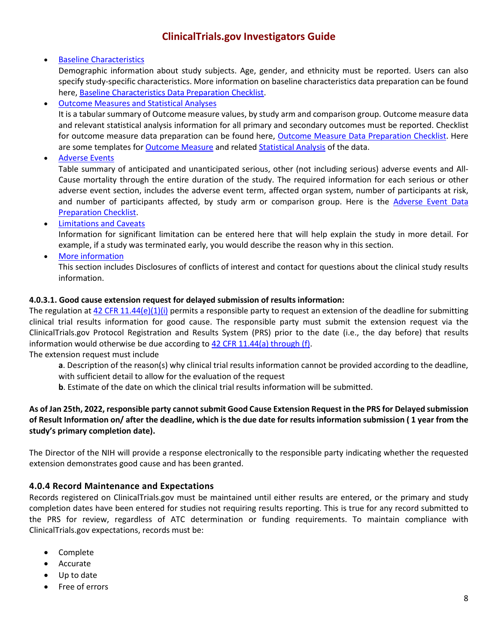#### • [Baseline Characteristics](https://register.clinicaltrials.gov/prs/rrs/help/ResultsHelp?popup=true&HelpContent=screens%2Fhelp%2FhowToReportBaseline.vm&ContentTitle=Baseline+Characteristics&uid=U0003GLD&ts=7&cx=-1is1gu)

Demographic information about study subjects. Age, gender, and ethnicity must be reported. Users can also specify study-specific characteristics. More information on baseline characteristics data preparation can be found here, [Baseline Characteristics Data Preparation Checklist.](https://prsinfo.clinicaltrials.gov/data-prep-checklist-bl.pdf)

• [Outcome Measures and Statistical Analyses](https://register.clinicaltrials.gov/prs/rrs/help/ResultsHelp?popup=true&HelpContent=screens%2Fhelp%2FhowToReportOutcome.vm&ContentTitle=Outcome+Measures+and+Statistical+Analyses&uid=U0003GLD&ts=7&cx=3clllq)

It is a tabular summary of Outcome measure values, by study arm and comparison group. Outcome measure data and relevant statistical analysis information for all primary and secondary outcomes must be reported. Checklist for outcome measure data preparation can be found here, [Outcome Measure Data Preparation Checklist.](https://prsinfo.clinicaltrials.gov/data-prep-checklist-om-sa.pdf) Here are some templates for [Outcome Measure](https://prsinfo.clinicaltrials.gov/results_table_layout/DataEntryTable_OMForm.pdf) and relate[d Statistical Analysis](https://prsinfo.clinicaltrials.gov/results_table_layout/DataEntryTable_StatAnalysisForm.pdf) of the data.

• [Adverse Events](https://register.clinicaltrials.gov/prs/rrs/help/ResultsHelp?popup=true&HelpContent=screens%2Fhelp%2FhowToReportAE.vm&ContentTitle=Adverse+Events&uid=U0003GLD&ts=7&cx=-1qex4d)

Table summary of anticipated and unanticipated serious, other (not including serious) adverse events and All-Cause mortality through the entire duration of the study. The required information for each serious or other adverse event section, includes the adverse event term, affected organ system, number of participants at risk, and number of participants affected, by study arm or comparison group. Here is the [Adverse Event Data](https://prsinfo.clinicaltrials.gov/data-prep-checklist-ae.pdf)  [Preparation Checklist.](https://prsinfo.clinicaltrials.gov/data-prep-checklist-ae.pdf)

• [Limitations and Caveats](https://register.clinicaltrials.gov/prs/rrs/help/ResultsHelp?popup=true&HelpContent=screens%2Fhelp%2FhowToReportAE.vm&ContentTitle=Adverse+Events&uid=U0003GLD&ts=7&cx=-1qex4d) 

Information for significant limitation can be entered here that will help explain the study in more detail. For example, if a study was terminated early, you would describe the reason why in this section.

• [More information](https://register.clinicaltrials.gov/prs/rrs/help/ResultsHelp?popup=true&HelpContent=screens%2Fhelp%2FhowToReportAE.vm&ContentTitle=Adverse+Events&uid=U0003GLD&ts=7&cx=-1qex4d) 

This section includes Disclosures of conflicts of interest and contact for questions about the clinical study results information.

#### **4.0.3.1. Good cause extension request for delayed submission of results information:**

The regulation at [42 CFR 11.44\(e\)\(1\)\(i\)](https://www.ecfr.gov/current/title-42/chapter-I/subchapter-A/part-11) permits a responsible party to request an extension of the deadline for submitting clinical trial results information for good cause. The responsible party must submit the extension request via the ClinicalTrials.gov Protocol Registration and Results System (PRS) prior to the date (i.e., the day before) that results information would otherwise be due according to [42 CFR 11.44\(a\) through \(f\).](https://www.ecfr.gov/current/title-42/chapter-I/subchapter-A/part-11)

The extension request must include

- **a**. Description of the reason(s) why clinical trial results information cannot be provided according to the deadline, with sufficient detail to allow for the evaluation of the request
- **b**. Estimate of the date on which the clinical trial results information will be submitted.

#### **As of Jan 25th, 2022, responsible party cannot submit Good Cause Extension Request in the PRS for Delayed submission of Result Information on/ after the deadline, which is the due date for results information submission ( 1 year from the study's primary completion date).**

The Director of the NIH will provide a response electronically to the responsible party indicating whether the requested extension demonstrates good cause and has been granted.

#### **4.0.4 Record Maintenance and Expectations**

Records registered on ClinicalTrials.gov must be maintained until either results are entered, or the primary and study completion dates have been entered for studies not requiring results reporting. This is true for any record submitted to the PRS for review, regardless of ATC determination or funding requirements. To maintain compliance with ClinicalTrials.gov expectations, records must be:

- Complete
- Accurate
- Up to date
- Free of errors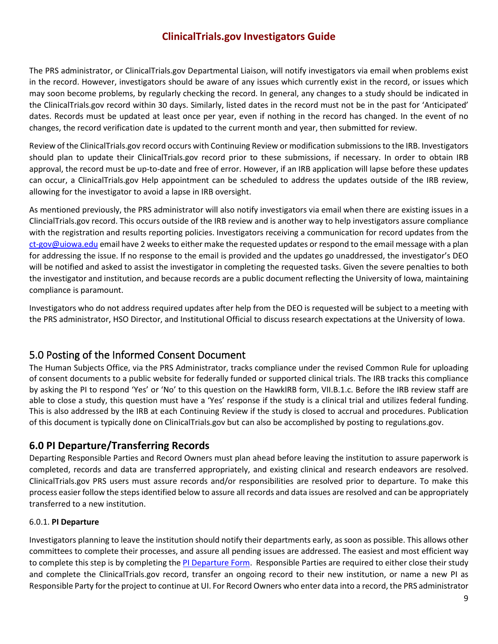The PRS administrator, or ClinicalTrials.gov Departmental Liaison, will notify investigators via email when problems exist in the record. However, investigators should be aware of any issues which currently exist in the record, or issues which may soon become problems, by regularly checking the record. In general, any changes to a study should be indicated in the ClinicalTrials.gov record within 30 days. Similarly, listed dates in the record must not be in the past for 'Anticipated' dates. Records must be updated at least once per year, even if nothing in the record has changed. In the event of no changes, the record verification date is updated to the current month and year, then submitted for review.

Review of the ClinicalTrials.gov record occurs with Continuing Review or modification submissions to the IRB. Investigators should plan to update their ClinicalTrials.gov record prior to these submissions, if necessary. In order to obtain IRB approval, the record must be up-to-date and free of error. However, if an IRB application will lapse before these updates can occur, a ClinicalTrials.gov Help appointment can be scheduled to address the updates outside of the IRB review, allowing for the investigator to avoid a lapse in IRB oversight.

As mentioned previously, the PRS administrator will also notify investigators via email when there are existing issues in a ClincialTrials.gov record. This occurs outside of the IRB review and is another way to help investigators assure compliance with the registration and results reporting policies. Investigators receiving a communication for record updates from the [ct-gov@uiowa.edu](mailto:ct-gov@uiowa.edu) email have 2 weeks to either make the requested updates or respond to the email message with a plan for addressing the issue. If no response to the email is provided and the updates go unaddressed, the investigator's DEO will be notified and asked to assist the investigator in completing the requested tasks. Given the severe penalties to both the investigator and institution, and because records are a public document reflecting the University of Iowa, maintaining compliance is paramount.

Investigators who do not address required updates after help from the DEO is requested will be subject to a meeting with the PRS administrator, HSO Director, and Institutional Official to discuss research expectations at the University of Iowa.

### <span id="page-8-0"></span>5.0 Posting of the Informed Consent Document

The Human Subjects Office, via the PRS Administrator, tracks compliance under the revised Common Rule for uploading of consent documents to a public website for federally funded or supported clinical trials. The IRB tracks this compliance by asking the PI to respond 'Yes' or 'No' to this question on the HawkIRB form, VII.B.1.c. Before the IRB review staff are able to close a study, this question must have a 'Yes' response if the study is a clinical trial and utilizes federal funding. This is also addressed by the IRB at each Continuing Review if the study is closed to accrual and procedures. Publication of this document is typically done on ClinicalTrials.gov but can also be accomplished by posting to regulations.gov.

### <span id="page-8-1"></span>**6.0 PI Departure/Transferring Records**

Departing Responsible Parties and Record Owners must plan ahead before leaving the institution to assure paperwork is completed, records and data are transferred appropriately, and existing clinical and research endeavors are resolved. ClinicalTrials.gov PRS users must assure records and/or responsibilities are resolved prior to departure. To make this process easier follow the steps identified below to assure all records and data issues are resolved and can be appropriately transferred to a new institution.

#### 6.0.1. **PI Departure**

Investigators planning to leave the institution should notify their departments early, as soon as possible. This allows other committees to complete their processes, and assure all pending issues are addressed. The easiest and most efficient way to complete this step is by completing th[e PI Departure Form.](https://dsp.research.uiowa.edu/pi-transferdeparture) Responsible Parties are required to either close their study and complete the ClinicalTrials.gov record, transfer an ongoing record to their new institution, or name a new PI as Responsible Party for the project to continue at UI. For Record Owners who enter data into a record, the PRS administrator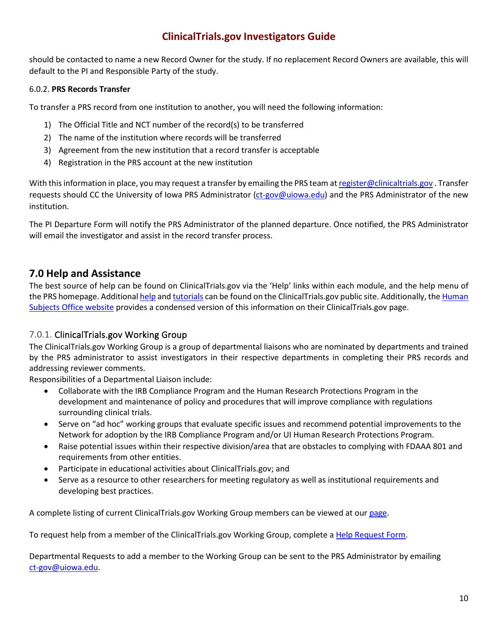should be contacted to name a new Record Owner for the study. If no replacement Record Owners are available, this will default to the PI and Responsible Party of the study.

#### 6.0.2. **PRS Records Transfer**

To transfer a PRS record from one institution to another, you will need the following information:

- 1) The Official Title and NCT number of the record(s) to be transferred
- 2) The name of the institution where records will be transferred
- 3) Agreement from the new institution that a record transfer is acceptable
- 4) Registration in the PRS account at the new institution

With this information in place, you may request a transfer by emailing the PRS team a[t register@clinicaltrials.gov](mailto:register@clinicaltrials.gov) . Transfer requests should CC the University of Iowa PRS Administrator [\(ct-gov@uiowa.edu\)](mailto:ct-gov@uiowa.edu) and the PRS Administrator of the new institution.

The PI Departure Form will notify the PRS Administrator of the planned departure. Once notified, the PRS Administrator will email the investigator and assist in the record transfer process.

#### **7.0 Help and Assistance**

The best source of help can be found on ClinicalTrials.gov via the 'Help' links within each module, and the help menu of the PRS homepage. Additiona[l help](https://clinicaltrials.gov/ct2/manage-recs/resources) an[d tutorials](https://clinicaltrials.gov/ct2/manage-recs/present) can be found on the ClinicalTrials.gov public site. Additionally, th[e Human](https://hso.research.uiowa.edu/)  [Subjects Office website](https://hso.research.uiowa.edu/) provides a condensed version of this information on their ClinicalTrials.gov page.

#### <span id="page-9-0"></span>7.0.1. ClinicalTrials.gov Working Group

The ClinicalTrials.gov Working Group is a group of departmental liaisons who are nominated by departments and trained by the PRS administrator to assist investigators in their respective departments in completing their PRS records and addressing reviewer comments.

Responsibilities of a Departmental Liaison include:

- Collaborate with the IRB Compliance Program and the Human Research Protections Program in the development and maintenance of policy and procedures that will improve compliance with regulations surrounding clinical trials.
- Serve on "ad hoc" working groups that evaluate specific issues and recommend potential improvements to the Network for adoption by the IRB Compliance Program and/or UI Human Research Protections Program.
- Raise potential issues within their respective division/area that are obstacles to complying with FDAAA 801 and requirements from other entities.
- Participate in educational activities about ClinicalTrials.gov; and
- Serve as a resource to other researchers for meeting regulatory as well as institutional requirements and developing best practices.

A complete listing of current ClinicalTrials.gov Working Group members can be viewed at our [page.](https://hso.research.uiowa.edu/clinicaltrialsgov-working-group)

To request help from a member of the ClinicalTrials.gov Working Group, complete a [Help Request Form.](https://workflow.uiowa.edu/entry/new/5603)

Departmental Requests to add a member to the Working Group can be sent to the PRS Administrator by emailing [ct-gov@uiowa.edu.](mailto:ct-gov@uiowa.edu)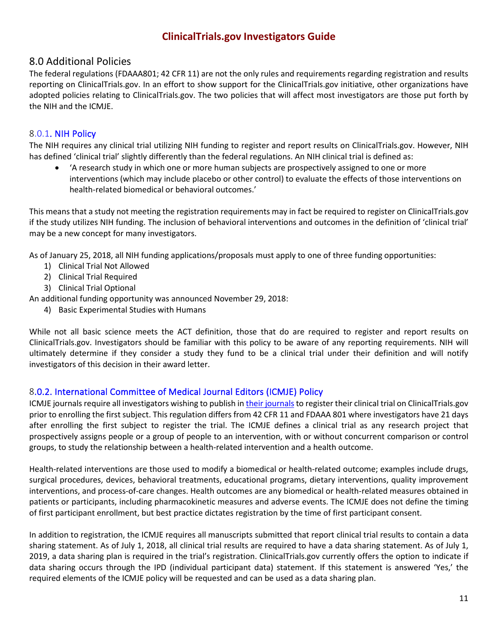#### <span id="page-10-0"></span>8.0 Additional Policies

The federal regulations (FDAAA801; 42 CFR 11) are not the only rules and requirements regarding registration and results reporting on ClinicalTrials.gov. In an effort to show support for the ClinicalTrials.gov initiative, other organizations have adopted policies relating to ClinicalTrials.gov. The two policies that will affect most investigators are those put forth by the NIH and the ICMJE.

#### <span id="page-10-1"></span>8.0.1. [NIH Policy](https://www.federalregister.gov/documents/2016/09/21/2016-22379/nih-policy-on-the-dissemination-of-nih-funded-clinical-trial-information)

The NIH requires any clinical trial utilizing NIH funding to register and report results on ClinicalTrials.gov. However, NIH has defined 'clinical trial' slightly differently than the federal regulations. An NIH clinical trial is defined as:

• 'A research study in which one or more human subjects are prospectively assigned to one or more interventions (which may include placebo or other control) to evaluate the effects of those interventions on health-related biomedical or behavioral outcomes.'

This means that a study not meeting the registration requirements may in fact be required to register on ClinicalTrials.gov if the study utilizes NIH funding. The inclusion of behavioral interventions and outcomes in the definition of 'clinical trial' may be a new concept for many investigators.

As of January 25, 2018, all NIH funding applications/proposals must apply to one of three funding opportunities:

- 1) Clinical Trial Not Allowed
- 2) Clinical Trial Required
- 3) Clinical Trial Optional

An additional funding opportunity was announced November 29, 2018:

4) Basic Experimental Studies with Humans

While not all basic science meets the ACT definition, those that do are required to register and report results on ClinicalTrials.gov. Investigators should be familiar with this policy to be aware of any reporting requirements. NIH will ultimately determine if they consider a study they fund to be a clinical trial under their definition and will notify investigators of this decision in their award letter.

#### <span id="page-10-2"></span>8.0.2. [International Committee of Medical Journal Editors \(ICMJE\) Policy](http://www.icmje.org/recommendations/browse/publishing-and-editorial-issues/clinical-trial-registration.html)

ICMJE journals require all investigators wishing to publish i[n their journals](http://www.icmje.org/journals-following-the-icmje-recommendations/) to register their clinical trial on ClinicalTrials.gov prior to enrolling the first subject. This regulation differs from 42 CFR 11 and FDAAA 801 where investigators have 21 days after enrolling the first subject to register the trial. The ICMJE defines a clinical trial as any research project that prospectively assigns people or a group of people to an intervention, with or without concurrent comparison or control groups, to study the relationship between a health-related intervention and a health outcome.

Health-related interventions are those used to modify a biomedical or health-related outcome; examples include drugs, surgical procedures, devices, behavioral treatments, educational programs, dietary interventions, quality improvement interventions, and process-of-care changes. Health outcomes are any biomedical or health-related measures obtained in patients or participants, including pharmacokinetic measures and adverse events. The ICMJE does not define the timing of first participant enrollment, but best practice dictates registration by the time of first participant consent.

In addition to registration, the ICMJE requires all manuscripts submitted that report clinical trial results to contain a data sharing statement. As of July 1, 2018, all clinical trial results are required to have a data sharing statement. As of July 1, 2019, a data sharing plan is required in the trial's registration. ClinicalTrials.gov currently offers the option to indicate if data sharing occurs through the IPD (individual participant data) statement. If this statement is answered 'Yes,' the required elements of the ICMJE policy will be requested and can be used as a data sharing plan.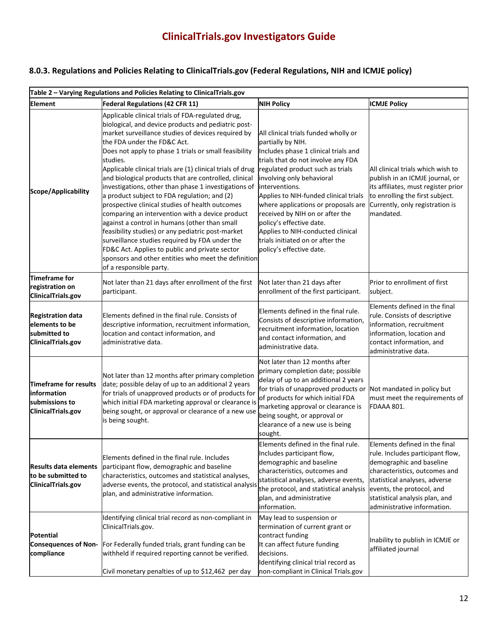### **8.0.3. Regulations and Policies Relating to ClinicalTrials.gov (Federal Regulations, NIH and ICMJE policy)**

|                                                                                  | Table 2 - Varying Regulations and Policies Relating to ClinicalTrials.gov                                                                                                                                                                                                                                                                                                                                                                                                                                                                                                                                                                                                                                                                                                                                                                                                                           |                                                                                                                                                                                                                                                                                                                                                                                                                                                                                |                                                                                                                                                                                                                                                               |  |  |  |
|----------------------------------------------------------------------------------|-----------------------------------------------------------------------------------------------------------------------------------------------------------------------------------------------------------------------------------------------------------------------------------------------------------------------------------------------------------------------------------------------------------------------------------------------------------------------------------------------------------------------------------------------------------------------------------------------------------------------------------------------------------------------------------------------------------------------------------------------------------------------------------------------------------------------------------------------------------------------------------------------------|--------------------------------------------------------------------------------------------------------------------------------------------------------------------------------------------------------------------------------------------------------------------------------------------------------------------------------------------------------------------------------------------------------------------------------------------------------------------------------|---------------------------------------------------------------------------------------------------------------------------------------------------------------------------------------------------------------------------------------------------------------|--|--|--|
| <b>Element</b>                                                                   | <b>Federal Regulations (42 CFR 11)</b>                                                                                                                                                                                                                                                                                                                                                                                                                                                                                                                                                                                                                                                                                                                                                                                                                                                              | <b>NIH Policy</b>                                                                                                                                                                                                                                                                                                                                                                                                                                                              | <b>ICMJE Policy</b>                                                                                                                                                                                                                                           |  |  |  |
| Scope/Applicability                                                              | Applicable clinical trials of FDA-regulated drug,<br>biological, and device products and pediatric post-<br>market surveillance studies of devices required by<br>the FDA under the FD&C Act.<br>Does not apply to phase 1 trials or small feasibility<br>studies.<br>Applicable clinical trials are (1) clinical trials of drug<br>and biological products that are controlled, clinical<br>investigations, other than phase 1 investigations of<br>a product subject to FDA regulation; and (2)<br>prospective clinical studies of health outcomes<br>comparing an intervention with a device product<br>against a control in humans (other than small<br>feasibility studies) or any pediatric post-market<br>surveillance studies required by FDA under the<br>FD&C Act. Applies to public and private sector<br>sponsors and other entities who meet the definition<br>of a responsible party. | All clinical trials funded wholly or<br>partially by NIH.<br>Includes phase 1 clinical trials and<br>trials that do not involve any FDA<br>regulated product such as trials<br>involving only behavioral<br>interventions.<br>Applies to NIH-funded clinical trials<br>where applications or proposals are<br>received by NIH on or after the<br>policy's effective date.<br>Applies to NIH-conducted clinical<br>trials initiated on or after the<br>policy's effective date. | All clinical trials which wish to<br>publish in an ICMJE journal, or<br>its affiliates, must register prior<br>to enrolling the first subject.<br>Currently, only registration is<br>mandated.                                                                |  |  |  |
| <b>Timeframe for</b><br>registration on<br>ClinicalTrials.gov                    | Not later than 21 days after enrollment of the first<br>participant.                                                                                                                                                                                                                                                                                                                                                                                                                                                                                                                                                                                                                                                                                                                                                                                                                                | Not later than 21 days after<br>enrollment of the first participant.                                                                                                                                                                                                                                                                                                                                                                                                           | Prior to enrollment of first<br>subject.                                                                                                                                                                                                                      |  |  |  |
| <b>Registration data</b><br>elements to be<br>submitted to<br>ClinicalTrials.gov | Elements defined in the final rule. Consists of<br>descriptive information, recruitment information,<br>location and contact information, and<br>administrative data.                                                                                                                                                                                                                                                                                                                                                                                                                                                                                                                                                                                                                                                                                                                               | Elements defined in the final rule.<br>Consists of descriptive information,<br>recruitment information, location<br>and contact information, and<br>administrative data.                                                                                                                                                                                                                                                                                                       | Elements defined in the final<br>rule. Consists of descriptive<br>information, recruitment<br>information, location and<br>contact information, and<br>administrative data.                                                                                   |  |  |  |
| Timeframe for results<br>linformation<br>submissions to<br>ClinicalTrials.gov    | Not later than 12 months after primary completion<br>date; possible delay of up to an additional 2 years<br>for trials of unapproved products or of products for<br>which initial FDA marketing approval or clearance is<br>being sought, or approval or clearance of a new use<br>is being sought.                                                                                                                                                                                                                                                                                                                                                                                                                                                                                                                                                                                                 | Not later than 12 months after<br>primary completion date; possible<br>delay of up to an additional 2 years<br>for trials of unapproved products or<br>of products for which initial FDA<br>marketing approval or clearance is<br>being sought, or approval or<br>clearance of a new use is being<br>sought.                                                                                                                                                                   | Not mandated in policy but<br>must meet the requirements of<br>FDAAA 801.                                                                                                                                                                                     |  |  |  |
| <b>Results data elements</b><br>to be submitted to<br>ClinicalTrials.gov         | Elements defined in the final rule. Includes<br>participant flow, demographic and baseline<br>characteristics, outcomes and statistical analyses,<br>adverse events, the protocol, and statistical analysis<br>plan, and administrative information.                                                                                                                                                                                                                                                                                                                                                                                                                                                                                                                                                                                                                                                | Elements defined in the final rule.<br>Includes participant flow,<br>demographic and baseline<br>characteristics, outcomes and<br>statistical analyses, adverse events,<br>the protocol, and statistical analysis<br>plan, and administrative<br>information.                                                                                                                                                                                                                  | Elements defined in the final<br>rule. Includes participant flow,<br>demographic and baseline<br>characteristics, outcomes and<br>statistical analyses, adverse<br>events, the protocol, and<br>statistical analysis plan, and<br>administrative information. |  |  |  |
| Potential<br>compliance                                                          | Identifying clinical trial record as non-compliant in<br>ClinicalTrials.gov.<br><b>Consequences of Non-</b> For Federally funded trials, grant funding can be<br>withheld if required reporting cannot be verified.<br>Civil monetary penalties of up to \$12,462 per day                                                                                                                                                                                                                                                                                                                                                                                                                                                                                                                                                                                                                           | May lead to suspension or<br>termination of current grant or<br>contract funding<br>It can affect future funding<br>decisions.<br>Identifying clinical trial record as<br>non-compliant in Clinical Trials.gov                                                                                                                                                                                                                                                                 | Inability to publish in ICMJE or<br>affiliated journal                                                                                                                                                                                                        |  |  |  |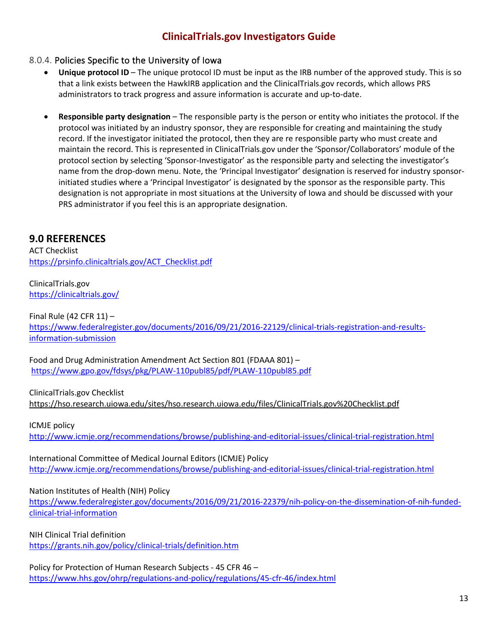#### <span id="page-12-0"></span>8.0.4. Policies Specific to the University of Iowa

- **Unique protocol ID** The unique protocol ID must be input as the IRB number of the approved study. This is so that a link exists between the HawkIRB application and the ClinicalTrials.gov records, which allows PRS administrators to track progress and assure information is accurate and up-to-date.
- **Responsible party designation** The responsible party is the person or entity who initiates the protocol. If the protocol was initiated by an industry sponsor, they are responsible for creating and maintaining the study record. If the investigator initiated the protocol, then they are re responsible party who must create and maintain the record. This is represented in ClinicalTrials.gov under the 'Sponsor/Collaborators' module of the protocol section by selecting 'Sponsor-Investigator' as the responsible party and selecting the investigator's name from the drop-down menu. Note, the 'Principal Investigator' designation is reserved for industry sponsorinitiated studies where a 'Principal Investigator' is designated by the sponsor as the responsible party. This designation is not appropriate in most situations at the University of Iowa and should be discussed with your PRS administrator if you feel this is an appropriate designation.

### <span id="page-12-1"></span>**9.0 REFERENCES**

ACT Checklist [https://prsinfo.clinicaltrials.gov/ACT\\_Checklist.pdf](https://prsinfo.clinicaltrials.gov/ACT_Checklist.pdf) 

ClinicalTrials.gov <https://clinicaltrials.gov/>

Final Rule (42 CFR 11) – [https://www.federalregister.gov/documents/2016/09/21/2016-22129/clinical-trials-registration-and-results](https://www.federalregister.gov/documents/2016/09/21/2016-22129/clinical-trials-registration-and-results-information-submission)[information-submission](https://www.federalregister.gov/documents/2016/09/21/2016-22129/clinical-trials-registration-and-results-information-submission)

Food and Drug Administration Amendment Act Section 801 (FDAAA 801) – <https://www.gpo.gov/fdsys/pkg/PLAW-110publ85/pdf/PLAW-110publ85.pdf>

ClinicalTrials.gov Checklist <https://hso.research.uiowa.edu/sites/hso.research.uiowa.edu/files/ClinicalTrials.gov%20Checklist.pdf>

ICMJE policy <http://www.icmje.org/recommendations/browse/publishing-and-editorial-issues/clinical-trial-registration.html>

International Committee of Medical Journal Editors (ICMJE) Policy <http://www.icmje.org/recommendations/browse/publishing-and-editorial-issues/clinical-trial-registration.html>

Nation Institutes of Health (NIH) Policy

[https://www.federalregister.gov/documents/2016/09/21/2016-22379/nih-policy-on-the-dissemination-of-nih-funded](https://www.federalregister.gov/documents/2016/09/21/2016-22379/nih-policy-on-the-dissemination-of-nih-funded-clinical-trial-information)[clinical-trial-information](https://www.federalregister.gov/documents/2016/09/21/2016-22379/nih-policy-on-the-dissemination-of-nih-funded-clinical-trial-information)

NIH Clinical Trial definition <https://grants.nih.gov/policy/clinical-trials/definition.htm>

Policy for Protection of Human Research Subjects - 45 CFR 46 – <https://www.hhs.gov/ohrp/regulations-and-policy/regulations/45-cfr-46/index.html>